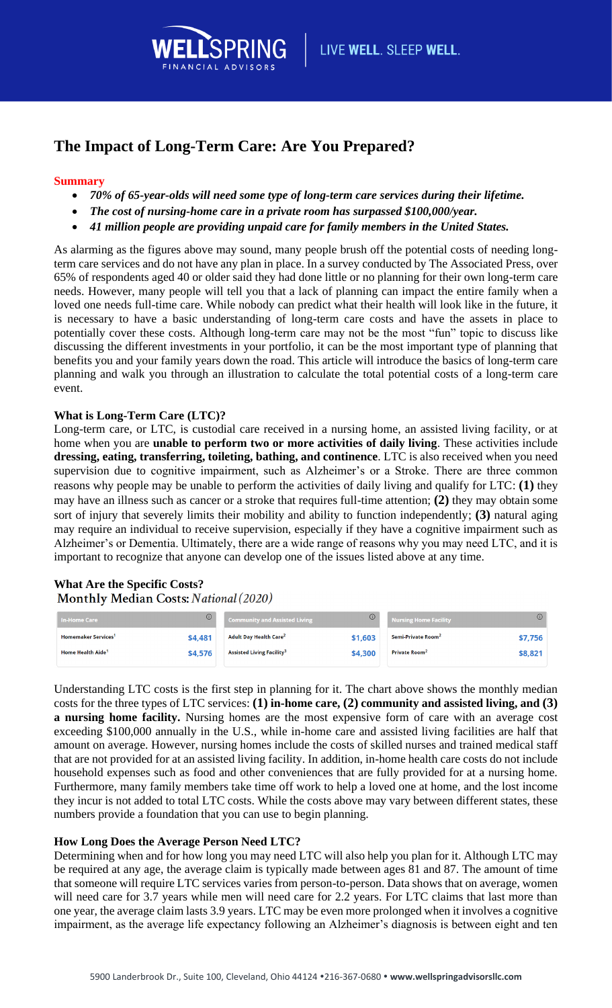

# **The Impact of Long-Term Care: Are You Prepared?**

### **Summary**

- *70% of 65-year-olds will need some type of long-term care services during their lifetime.*
- *The cost of nursing-home care in a private room has surpassed \$100,000/year.*
- *41 million people are providing unpaid care for family members in the United States.*

As alarming as the figures above may sound, many people brush off the potential costs of needing longterm care services and do not have any plan in place. In a survey conducted by The Associated Press, over 65% of respondents aged 40 or older said they had done little or no planning for their own long-term care needs. However, many people will tell you that a lack of planning can impact the entire family when a loved one needs full-time care. While nobody can predict what their health will look like in the future, it is necessary to have a basic understanding of long-term care costs and have the assets in place to potentially cover these costs. Although long-term care may not be the most "fun" topic to discuss like discussing the different investments in your portfolio, it can be the most important type of planning that benefits you and your family years down the road. This article will introduce the basics of long-term care planning and walk you through an illustration to calculate the total potential costs of a long-term care event.

# **What is Long-Term Care (LTC)?**

Long-term care, or LTC, is custodial care received in a nursing home, an assisted living facility, or at home when you are **unable to perform two or more activities of daily living**. These activities include **dressing, eating, transferring, toileting, bathing, and continence**. LTC is also received when you need supervision due to cognitive impairment, such as Alzheimer's or a Stroke. There are three common reasons why people may be unable to perform the activities of daily living and qualify for LTC: **(1)** they may have an illness such as cancer or a stroke that requires full-time attention; **(2)** they may obtain some sort of injury that severely limits their mobility and ability to function independently; **(3)** natural aging may require an individual to receive supervision, especially if they have a cognitive impairment such as Alzheimer's or Dementia. Ultimately, there are a wide range of reasons why you may need LTC, and it is important to recognize that anyone can develop one of the issues listed above at any time.

# **What Are the Specific Costs?** Monthly Median Costs: National (2020)

| <b>In-Home Care</b>                    | $\odot$ | <b>Community and Assisted Living</b>        | ⊙       | <b>Nursing Home Facility</b>   | $\odot$ |
|----------------------------------------|---------|---------------------------------------------|---------|--------------------------------|---------|
| <b>Homemaker Services</b> <sup>1</sup> | \$4.481 | <b>Adult Day Health Care<sup>2</sup></b>    | \$1.603 | Semi-Private Room <sup>2</sup> | \$7,756 |
| Home Health Aide <sup>1</sup>          | \$4.576 | <b>Assisted Living Facility<sup>3</sup></b> | \$4,300 | Private Room <sup>2</sup>      | \$8,821 |

Understanding LTC costs is the first step in planning for it. The chart above shows the monthly median costs for the three types of LTC services: **(1) in-home care, (2) community and assisted living, and (3) a nursing home facility.** Nursing homes are the most expensive form of care with an average cost exceeding \$100,000 annually in the U.S., while in-home care and assisted living facilities are half that amount on average. However, nursing homes include the costs of skilled nurses and trained medical staff that are not provided for at an assisted living facility. In addition, in-home health care costs do not include household expenses such as food and other conveniences that are fully provided for at a nursing home. Furthermore, many family members take time off work to help a loved one at home, and the lost income they incur is not added to total LTC costs. While the costs above may vary between different states, these numbers provide a foundation that you can use to begin planning.

### **How Long Does the Average Person Need LTC?**

Determining when and for how long you may need LTC will also help you plan for it. Although LTC may be required at any age, the average claim is typically made between ages 81 and 87. The amount of time that someone will require LTC services varies from person-to-person. Data shows that on average, women will need care for 3.7 years while men will need care for 2.2 years. For LTC claims that last more than one year, the average claim lasts 3.9 years. LTC may be even more prolonged when it involves a cognitive impairment, as the average life expectancy following an Alzheimer's diagnosis is between eight and ten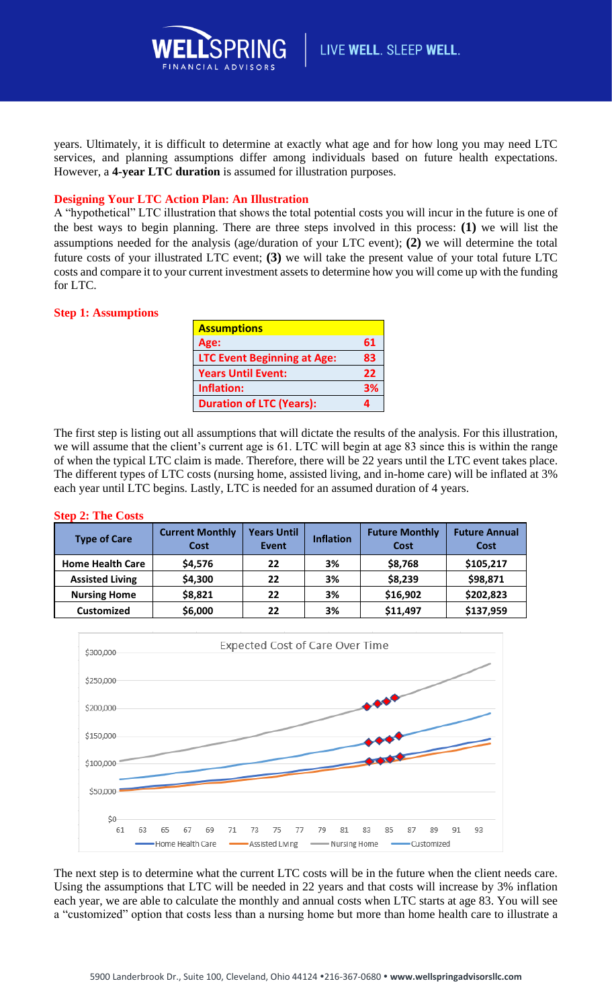

years. Ultimately, it is difficult to determine at exactly what age and for how long you may need LTC services, and planning assumptions differ among individuals based on future health expectations. However, a **4-year LTC duration** is assumed for illustration purposes.

# **Designing Your LTC Action Plan: An Illustration**

A "hypothetical" LTC illustration that shows the total potential costs you will incur in the future is one of the best ways to begin planning. There are three steps involved in this process: **(1)** we will list the assumptions needed for the analysis (age/duration of your LTC event); **(2)** we will determine the total future costs of your illustrated LTC event; **(3)** we will take the present value of your total future LTC costs and compare it to your current investment assets to determine how you will come up with the funding for LTC.

# **Step 1: Assumptions**

| <b>Assumptions</b>                 |    |
|------------------------------------|----|
| Age:                               | 61 |
| <b>LTC Event Beginning at Age:</b> | 83 |
| <b>Years Until Event:</b>          | 22 |
| <b>Inflation:</b>                  | 3% |
| <b>Duration of LTC (Years):</b>    |    |

The first step is listing out all assumptions that will dictate the results of the analysis. For this illustration, we will assume that the client's current age is 61. LTC will begin at age 83 since this is within the range of when the typical LTC claim is made. Therefore, there will be 22 years until the LTC event takes place. The different types of LTC costs (nursing home, assisted living, and in-home care) will be inflated at 3% each year until LTC begins. Lastly, LTC is needed for an assumed duration of 4 years.

#### **Step 2: The Costs**

| <b>Type of Care</b>     | <b>Current Monthly</b><br>Cost | <b>Years Until</b><br><b>Event</b> | <b>Inflation</b> | <b>Future Monthly</b><br>Cost | <b>Future Annual</b><br>Cost |
|-------------------------|--------------------------------|------------------------------------|------------------|-------------------------------|------------------------------|
| <b>Home Health Care</b> | \$4,576                        | 22                                 | 3%               | \$8,768                       | \$105,217                    |
| <b>Assisted Living</b>  | \$4,300                        | 22                                 | 3%               | \$8,239                       | \$98,871                     |
| <b>Nursing Home</b>     | \$8,821                        | 22                                 | 3%               | \$16,902                      | \$202,823                    |
| <b>Customized</b>       | \$6,000                        | 22                                 | 3%               | \$11,497                      | \$137,959                    |



The next step is to determine what the current LTC costs will be in the future when the client needs care. Using the assumptions that LTC will be needed in 22 years and that costs will increase by 3% inflation each year, we are able to calculate the monthly and annual costs when LTC starts at age 83. You will see a "customized" option that costs less than a nursing home but more than home health care to illustrate a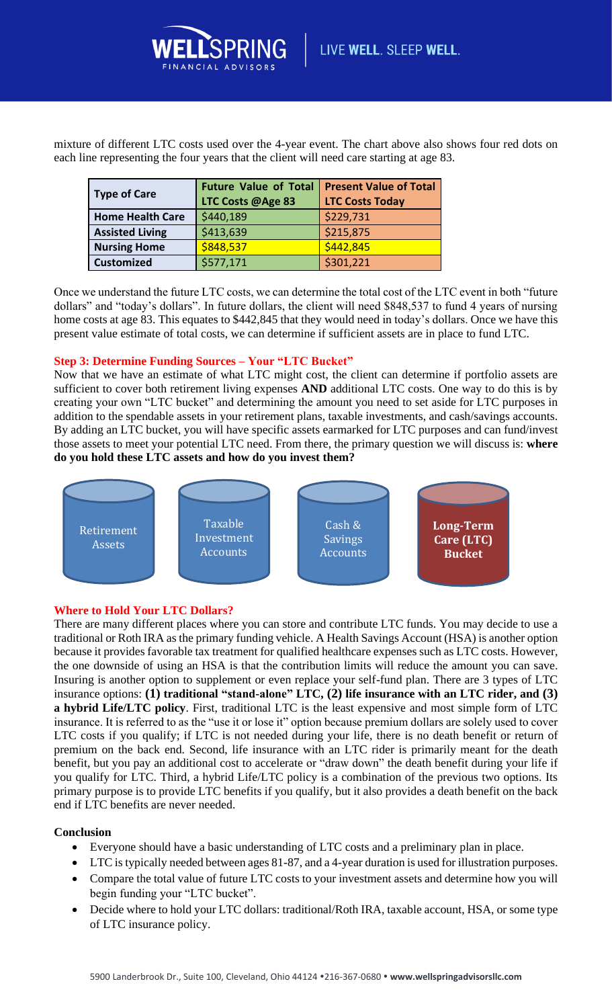

mixture of different LTC costs used over the 4-year event. The chart above also shows four red dots on each line representing the four years that the client will need care starting at age 83.

| <b>Type of Care</b>     | <b>Future Value of Total</b><br>LTC Costs @Age 83 | <b>Present Value of Total</b><br><b>LTC Costs Today</b> |  |
|-------------------------|---------------------------------------------------|---------------------------------------------------------|--|
| <b>Home Health Care</b> | \$440,189                                         | \$229,731                                               |  |
|                         |                                                   |                                                         |  |
| <b>Assisted Living</b>  | \$413,639                                         | \$215,875                                               |  |
| <b>Nursing Home</b>     | \$848,537                                         | \$442,845                                               |  |
| <b>Customized</b>       | \$577,171                                         | \$301,221                                               |  |

Once we understand the future LTC costs, we can determine the total cost of the LTC event in both "future dollars" and "today's dollars". In future dollars, the client will need \$848,537 to fund 4 years of nursing home costs at age 83. This equates to \$442,845 that they would need in today's dollars. Once we have this present value estimate of total costs, we can determine if sufficient assets are in place to fund LTC.

#### **Step 3: Determine Funding Sources – Your "LTC Bucket"**

Now that we have an estimate of what LTC might cost, the client can determine if portfolio assets are sufficient to cover both retirement living expenses **AND** additional LTC costs. One way to do this is by creating your own "LTC bucket" and determining the amount you need to set aside for LTC purposes in addition to the spendable assets in your retirement plans, taxable investments, and cash/savings accounts. By adding an LTC bucket, you will have specific assets earmarked for LTC purposes and can fund/invest those assets to meet your potential LTC need. From there, the primary question we will discuss is: **where do you hold these LTC assets and how do you invest them?** 



### **Where to Hold Your LTC Dollars?**

There are many different places where you can store and contribute LTC funds. You may decide to use a traditional or Roth IRA as the primary funding vehicle. A Health Savings Account (HSA) is another option because it provides favorable tax treatment for qualified healthcare expenses such as LTC costs. However, the one downside of using an HSA is that the contribution limits will reduce the amount you can save. Insuring is another option to supplement or even replace your self-fund plan. There are 3 types of LTC insurance options: **(1) traditional "stand-alone" LTC, (2) life insurance with an LTC rider, and (3) a hybrid Life/LTC policy**. First, traditional LTC is the least expensive and most simple form of LTC insurance. It is referred to as the "use it or lose it" option because premium dollars are solely used to cover LTC costs if you qualify; if LTC is not needed during your life, there is no death benefit or return of premium on the back end. Second, life insurance with an LTC rider is primarily meant for the death benefit, but you pay an additional cost to accelerate or "draw down" the death benefit during your life if you qualify for LTC. Third, a hybrid Life/LTC policy is a combination of the previous two options. Its primary purpose is to provide LTC benefits if you qualify, but it also provides a death benefit on the back end if LTC benefits are never needed.

#### **Conclusion**

- Everyone should have a basic understanding of LTC costs and a preliminary plan in place.
- LTC is typically needed between ages 81-87, and a 4-year duration is used for illustration purposes.
- Compare the total value of future LTC costs to your investment assets and determine how you will begin funding your "LTC bucket".
- Decide where to hold your LTC dollars: traditional/Roth IRA, taxable account, HSA, or some type of LTC insurance policy.